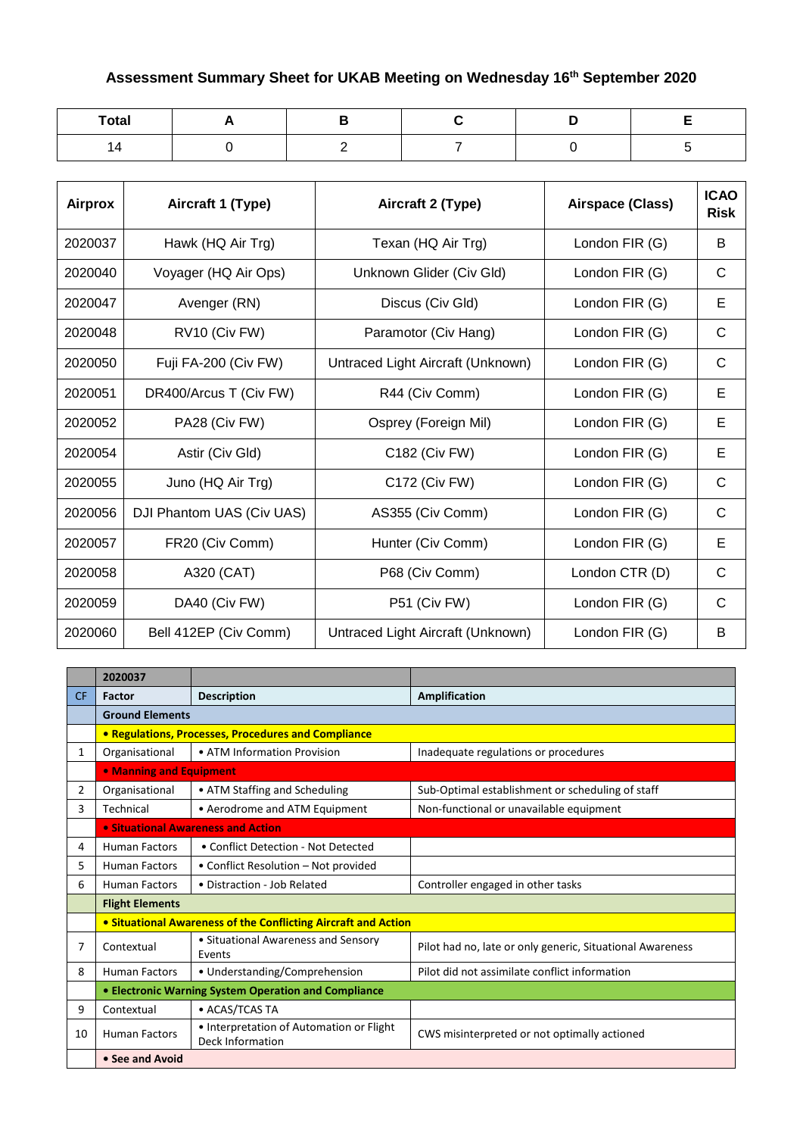## **Assessment Summary Sheet for UKAB Meeting on Wednesday 16th September 2020**

| <b>Total</b> |  |  |  |
|--------------|--|--|--|
| 14           |  |  |  |

| Airprox | Aircraft 1 (Type)         | Aircraft 2 (Type)                 | Airspace (Class) | <b>ICAO</b><br><b>Risk</b> |
|---------|---------------------------|-----------------------------------|------------------|----------------------------|
| 2020037 | Hawk (HQ Air Trg)         | Texan (HQ Air Trg)                | London FIR (G)   | B                          |
| 2020040 | Voyager (HQ Air Ops)      | Unknown Glider (Civ Gld)          | London FIR (G)   | С                          |
| 2020047 | Avenger (RN)              | Discus (Civ Gld)                  | London FIR (G)   | Е                          |
| 2020048 | RV10 (Civ FW)             | Paramotor (Civ Hang)              | London FIR (G)   | C                          |
| 2020050 | Fuji FA-200 (Civ FW)      | Untraced Light Aircraft (Unknown) | London FIR (G)   | C                          |
| 2020051 | DR400/Arcus T (Civ FW)    | R44 (Civ Comm)                    | London FIR (G)   | Е                          |
| 2020052 | PA28 (Civ FW)             | Osprey (Foreign Mil)              | London FIR (G)   | Е                          |
| 2020054 | Astir (Civ Gld)           | C182 (Civ FW)                     | London FIR (G)   | Е                          |
| 2020055 | Juno (HQ Air Trg)         | C172 (Civ FW)                     | London FIR (G)   | $\mathsf{C}$               |
| 2020056 | DJI Phantom UAS (Civ UAS) | AS355 (Civ Comm)                  | London FIR (G)   | C                          |
| 2020057 | FR20 (Civ Comm)           | Hunter (Civ Comm)                 | London FIR (G)   | Е                          |
| 2020058 | A320 (CAT)                | P68 (Civ Comm)                    | London CTR (D)   | C                          |
| 2020059 | DA40 (Civ FW)             | P51 (Civ FW)                      | London FIR (G)   | $\mathsf{C}$               |
| 2020060 | Bell 412EP (Civ Comm)     | Untraced Light Aircraft (Unknown) | London FIR (G)   | B                          |

|                | 2020037                 |                                                                |                                                           |
|----------------|-------------------------|----------------------------------------------------------------|-----------------------------------------------------------|
| <b>CF</b>      | Factor                  | <b>Description</b>                                             | Amplification                                             |
|                | <b>Ground Elements</b>  |                                                                |                                                           |
|                |                         | <b>• Regulations, Processes, Procedures and Compliance</b>     |                                                           |
| $\mathbf{1}$   | Organisational          | • ATM Information Provision                                    | Inadequate regulations or procedures                      |
|                | • Manning and Equipment |                                                                |                                                           |
| $\overline{2}$ | Organisational          | • ATM Staffing and Scheduling                                  | Sub-Optimal establishment or scheduling of staff          |
| 3              | Technical               | • Aerodrome and ATM Equipment                                  | Non-functional or unavailable equipment                   |
|                |                         | <b>• Situational Awareness and Action</b>                      |                                                           |
| 4              | <b>Human Factors</b>    | • Conflict Detection - Not Detected                            |                                                           |
| 5              | <b>Human Factors</b>    | • Conflict Resolution – Not provided                           |                                                           |
| 6              | <b>Human Factors</b>    | • Distraction - Job Related                                    | Controller engaged in other tasks                         |
|                | <b>Flight Elements</b>  |                                                                |                                                           |
|                |                         | • Situational Awareness of the Conflicting Aircraft and Action |                                                           |
| 7              | Contextual              | • Situational Awareness and Sensory<br>Events                  | Pilot had no, late or only generic, Situational Awareness |
| 8              | <b>Human Factors</b>    | • Understanding/Comprehension                                  | Pilot did not assimilate conflict information             |
|                |                         | • Electronic Warning System Operation and Compliance           |                                                           |
| 9              | Contextual              | • ACAS/TCAS TA                                                 |                                                           |
| 10             | <b>Human Factors</b>    | • Interpretation of Automation or Flight<br>Deck Information   | CWS misinterpreted or not optimally actioned              |
|                | • See and Avoid         |                                                                |                                                           |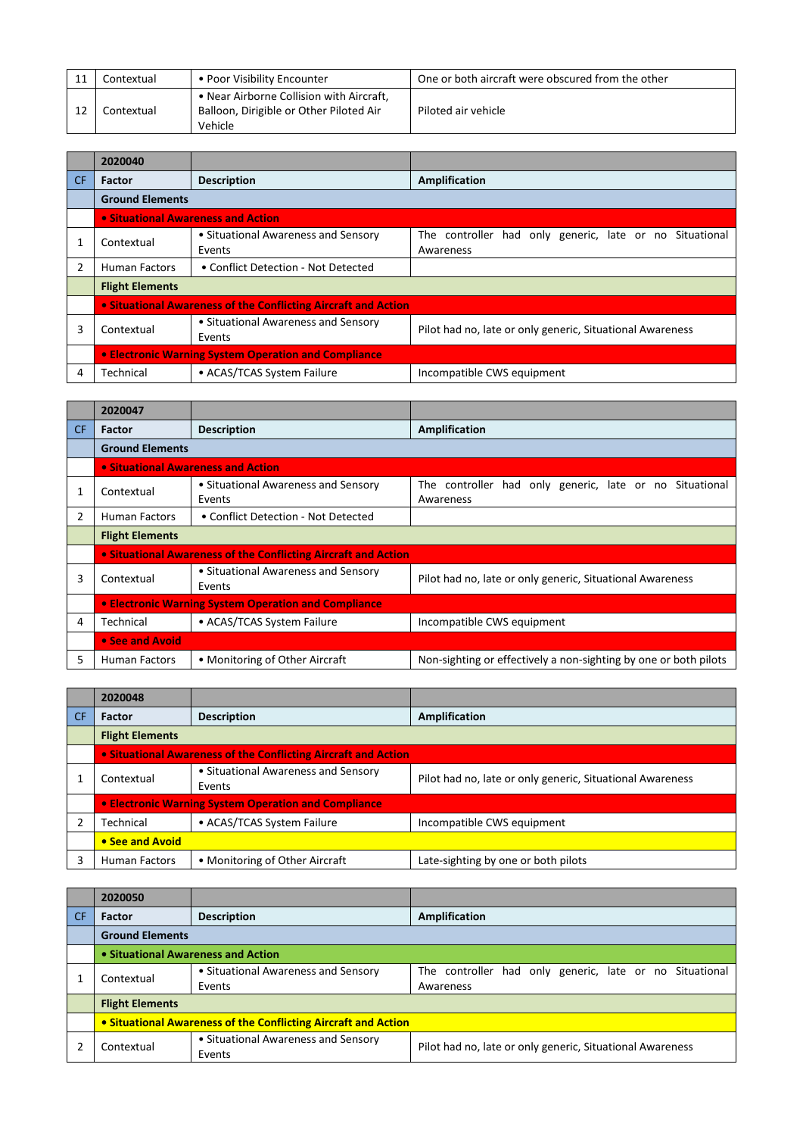| Contextual | • Poor Visibility Encounter                                                                    | One or both aircraft were obscured from the other |
|------------|------------------------------------------------------------------------------------------------|---------------------------------------------------|
| Contextual | • Near Airborne Collision with Aircraft,<br>Balloon, Dirigible or Other Piloted Air<br>Vehicle | Piloted air vehicle                               |

|     | 2020040                            |                                                                |                                                                         |
|-----|------------------------------------|----------------------------------------------------------------|-------------------------------------------------------------------------|
| CF. | Factor                             | <b>Description</b>                                             | Amplification                                                           |
|     | <b>Ground Elements</b>             |                                                                |                                                                         |
|     | • Situational Awareness and Action |                                                                |                                                                         |
|     | Contextual                         | • Situational Awareness and Sensory<br>Events                  | The controller<br>had only generic, late or no Situational<br>Awareness |
|     | Human Factors                      | • Conflict Detection - Not Detected                            |                                                                         |
|     | <b>Flight Elements</b>             |                                                                |                                                                         |
|     |                                    | • Situational Awareness of the Conflicting Aircraft and Action |                                                                         |
| 3   | Contextual                         | • Situational Awareness and Sensory<br>Events                  | Pilot had no, late or only generic, Situational Awareness               |
|     |                                    | • Electronic Warning System Operation and Compliance           |                                                                         |
| 4   | Technical                          | • ACAS/TCAS System Failure                                     | Incompatible CWS equipment                                              |

|                | 2020047                                              |                                                                |                                                                      |
|----------------|------------------------------------------------------|----------------------------------------------------------------|----------------------------------------------------------------------|
| CF.            | <b>Factor</b>                                        | <b>Description</b>                                             | Amplification                                                        |
|                | <b>Ground Elements</b>                               |                                                                |                                                                      |
|                |                                                      | • Situational Awareness and Action                             |                                                                      |
|                | Contextual                                           | • Situational Awareness and Sensory<br>Events                  | The controller had only generic, late or no Situational<br>Awareness |
| $\overline{2}$ | Human Factors                                        | • Conflict Detection - Not Detected                            |                                                                      |
|                | <b>Flight Elements</b>                               |                                                                |                                                                      |
|                |                                                      | • Situational Awareness of the Conflicting Aircraft and Action |                                                                      |
| 3              | Contextual                                           | • Situational Awareness and Sensory<br>Events                  | Pilot had no, late or only generic, Situational Awareness            |
|                | • Electronic Warning System Operation and Compliance |                                                                |                                                                      |
| 4              | Technical                                            | • ACAS/TCAS System Failure                                     | Incompatible CWS equipment                                           |
|                | • See and Avoid                                      |                                                                |                                                                      |
| 5              | <b>Human Factors</b>                                 | • Monitoring of Other Aircraft                                 | Non-sighting or effectively a non-sighting by one or both pilots     |

|           | 2020048                                              |                                                                |                                                           |  |
|-----------|------------------------------------------------------|----------------------------------------------------------------|-----------------------------------------------------------|--|
| <b>CF</b> | <b>Factor</b>                                        | <b>Description</b>                                             | <b>Amplification</b>                                      |  |
|           | <b>Flight Elements</b>                               |                                                                |                                                           |  |
|           |                                                      | . Situational Awareness of the Conflicting Aircraft and Action |                                                           |  |
|           | Contextual                                           | • Situational Awareness and Sensory<br>Events                  | Pilot had no, late or only generic, Situational Awareness |  |
|           | • Electronic Warning System Operation and Compliance |                                                                |                                                           |  |
|           | Technical                                            | • ACAS/TCAS System Failure                                     | Incompatible CWS equipment                                |  |
|           | • See and Avoid                                      |                                                                |                                                           |  |
|           | <b>Human Factors</b>                                 | • Monitoring of Other Aircraft                                 | Late-sighting by one or both pilots                       |  |

|           | 2020050                                                        |                                               |                                                           |
|-----------|----------------------------------------------------------------|-----------------------------------------------|-----------------------------------------------------------|
| <b>CF</b> | <b>Factor</b>                                                  | <b>Description</b>                            | Amplification                                             |
|           | <b>Ground Elements</b>                                         |                                               |                                                           |
|           | • Situational Awareness and Action                             |                                               |                                                           |
|           | Contextual                                                     | • Situational Awareness and Sensory           | The controller had only generic, late or no Situational   |
|           |                                                                | Events                                        | Awareness                                                 |
|           | <b>Flight Elements</b>                                         |                                               |                                                           |
|           | • Situational Awareness of the Conflicting Aircraft and Action |                                               |                                                           |
|           | Contextual                                                     | • Situational Awareness and Sensory<br>Events | Pilot had no, late or only generic, Situational Awareness |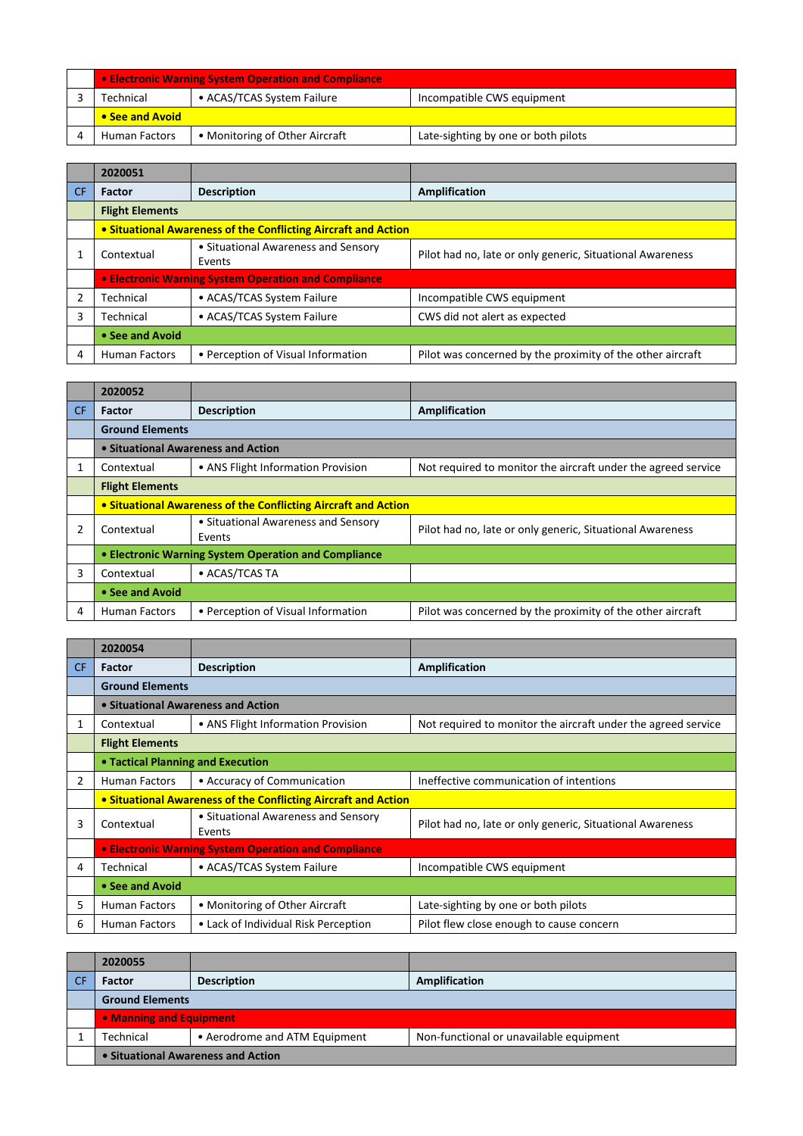| • Electronic Warning System Operation and Compliance |                                |                                     |  |
|------------------------------------------------------|--------------------------------|-------------------------------------|--|
| Technical                                            | • ACAS/TCAS System Failure     | Incompatible CWS equipment          |  |
| • See and Avoid                                      |                                |                                     |  |
| <b>Human Factors</b>                                 | • Monitoring of Other Aircraft | Late-sighting by one or both pilots |  |

|           | 2020051                |                                                                |                                                            |
|-----------|------------------------|----------------------------------------------------------------|------------------------------------------------------------|
| <b>CF</b> | <b>Factor</b>          | <b>Description</b>                                             | <b>Amplification</b>                                       |
|           | <b>Flight Elements</b> |                                                                |                                                            |
|           |                        | • Situational Awareness of the Conflicting Aircraft and Action |                                                            |
|           | Contextual             | • Situational Awareness and Sensory<br>Events                  | Pilot had no, late or only generic, Situational Awareness  |
|           |                        | • Electronic Warning System Operation and Compliance           |                                                            |
|           | Technical              | • ACAS/TCAS System Failure                                     | Incompatible CWS equipment                                 |
| 3         | Technical              | • ACAS/TCAS System Failure                                     | CWS did not alert as expected                              |
|           | • See and Avoid        |                                                                |                                                            |
| 4         | <b>Human Factors</b>   | • Perception of Visual Information                             | Pilot was concerned by the proximity of the other aircraft |

|     | 2020052                                              |                                                                |                                                               |  |
|-----|------------------------------------------------------|----------------------------------------------------------------|---------------------------------------------------------------|--|
| CF. | <b>Factor</b>                                        | <b>Description</b>                                             | <b>Amplification</b>                                          |  |
|     | <b>Ground Elements</b>                               |                                                                |                                                               |  |
|     |                                                      | • Situational Awareness and Action                             |                                                               |  |
|     | Contextual                                           | • ANS Flight Information Provision                             | Not required to monitor the aircraft under the agreed service |  |
|     | <b>Flight Elements</b>                               |                                                                |                                                               |  |
|     |                                                      | • Situational Awareness of the Conflicting Aircraft and Action |                                                               |  |
|     | Contextual                                           | • Situational Awareness and Sensory<br>Events                  | Pilot had no, late or only generic, Situational Awareness     |  |
|     | • Electronic Warning System Operation and Compliance |                                                                |                                                               |  |
| 3   | Contextual                                           | • ACAS/TCAS TA                                                 |                                                               |  |
|     | • See and Avoid                                      |                                                                |                                                               |  |
| 4   | Human Factors                                        | • Perception of Visual Information                             | Pilot was concerned by the proximity of the other aircraft    |  |

|     | 2020054                           |                                                                |                                                               |
|-----|-----------------------------------|----------------------------------------------------------------|---------------------------------------------------------------|
| CF. | <b>Factor</b>                     | <b>Description</b>                                             | Amplification                                                 |
|     | <b>Ground Elements</b>            |                                                                |                                                               |
|     |                                   | • Situational Awareness and Action                             |                                                               |
| 1   | Contextual                        | • ANS Flight Information Provision                             | Not required to monitor the aircraft under the agreed service |
|     | <b>Flight Elements</b>            |                                                                |                                                               |
|     | • Tactical Planning and Execution |                                                                |                                                               |
| 2   | <b>Human Factors</b>              | • Accuracy of Communication                                    | Ineffective communication of intentions                       |
|     |                                   | • Situational Awareness of the Conflicting Aircraft and Action |                                                               |
| 3   | Contextual                        | • Situational Awareness and Sensory<br>Events                  | Pilot had no, late or only generic, Situational Awareness     |
|     |                                   | • Electronic Warning System Operation and Compliance           |                                                               |
| 4   | Technical                         | • ACAS/TCAS System Failure                                     | Incompatible CWS equipment                                    |
|     | • See and Avoid                   |                                                                |                                                               |
| 5   | <b>Human Factors</b>              | • Monitoring of Other Aircraft                                 | Late-sighting by one or both pilots                           |
| 6   | <b>Human Factors</b>              | • Lack of Individual Risk Perception                           | Pilot flew close enough to cause concern                      |

| 2020055                            |                               |                                         |
|------------------------------------|-------------------------------|-----------------------------------------|
| <b>Factor</b>                      | <b>Description</b>            | Amplification                           |
| <b>Ground Elements</b>             |                               |                                         |
| • Manning and Equipment            |                               |                                         |
| Technical                          | • Aerodrome and ATM Equipment | Non-functional or unavailable equipment |
| • Situational Awareness and Action |                               |                                         |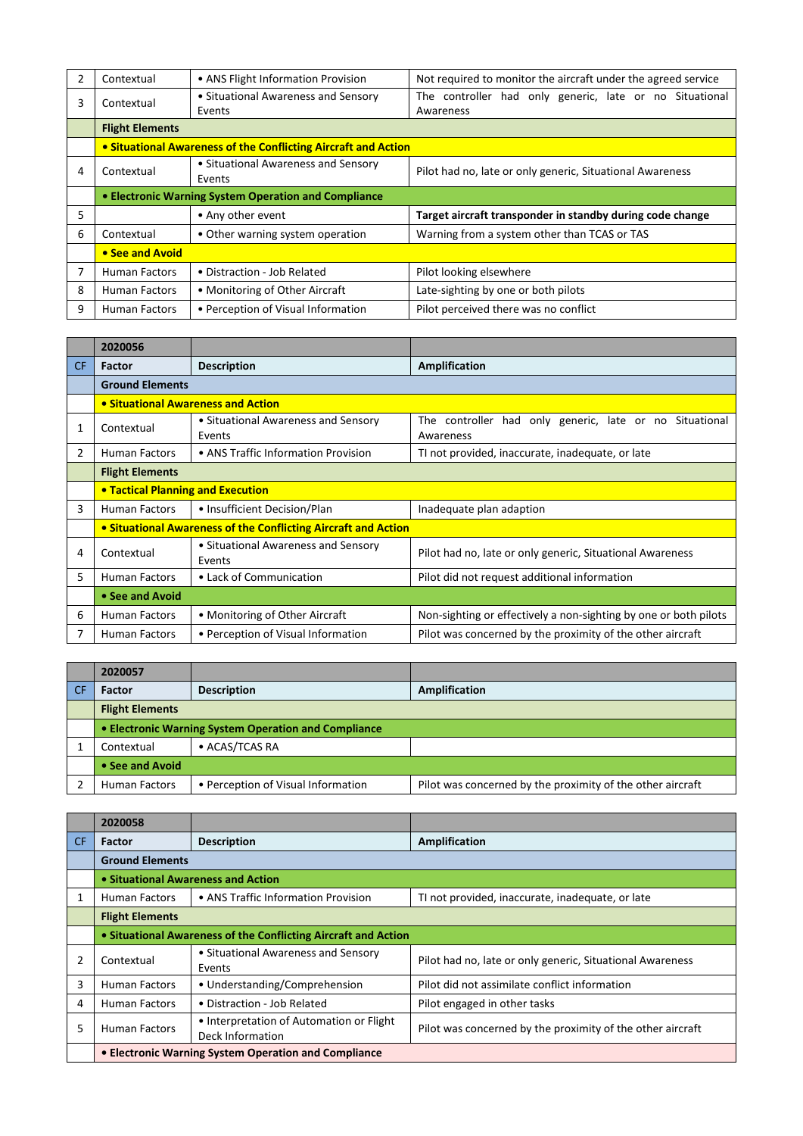|   | Contextual                                                     | • ANS Flight Information Provision            | Not required to monitor the aircraft under the agreed service        |
|---|----------------------------------------------------------------|-----------------------------------------------|----------------------------------------------------------------------|
| 3 | Contextual                                                     | • Situational Awareness and Sensory<br>Events | The controller had only generic, late or no Situational<br>Awareness |
|   | <b>Flight Elements</b>                                         |                                               |                                                                      |
|   | • Situational Awareness of the Conflicting Aircraft and Action |                                               |                                                                      |
| 4 | Contextual                                                     | • Situational Awareness and Sensory<br>Events | Pilot had no, late or only generic, Situational Awareness            |
|   | • Electronic Warning System Operation and Compliance           |                                               |                                                                      |
| 5 |                                                                | • Any other event                             | Target aircraft transponder in standby during code change            |
| 6 | Contextual                                                     | • Other warning system operation              | Warning from a system other than TCAS or TAS                         |
|   | • See and Avoid                                                |                                               |                                                                      |
|   | <b>Human Factors</b>                                           | • Distraction - Job Related                   | Pilot looking elsewhere                                              |
| 8 | <b>Human Factors</b>                                           | • Monitoring of Other Aircraft                | Late-sighting by one or both pilots                                  |
| 9 | <b>Human Factors</b>                                           | • Perception of Visual Information            | Pilot perceived there was no conflict                                |

|     | 2020056                                                        |                                               |                                                                      |
|-----|----------------------------------------------------------------|-----------------------------------------------|----------------------------------------------------------------------|
| CF. | <b>Factor</b>                                                  | <b>Description</b>                            | Amplification                                                        |
|     | <b>Ground Elements</b>                                         |                                               |                                                                      |
|     | • Situational Awareness and Action                             |                                               |                                                                      |
| 1   | Contextual                                                     | • Situational Awareness and Sensory<br>Events | The controller had only generic, late or no Situational<br>Awareness |
| 2   | <b>Human Factors</b>                                           | • ANS Traffic Information Provision           | TI not provided, inaccurate, inadequate, or late                     |
|     | <b>Flight Elements</b>                                         |                                               |                                                                      |
|     | • Tactical Planning and Execution                              |                                               |                                                                      |
| 3   | <b>Human Factors</b>                                           | • Insufficient Decision/Plan                  | Inadequate plan adaption                                             |
|     | • Situational Awareness of the Conflicting Aircraft and Action |                                               |                                                                      |
| 4   | Contextual                                                     | • Situational Awareness and Sensory<br>Events | Pilot had no, late or only generic, Situational Awareness            |
| 5   | <b>Human Factors</b>                                           | • Lack of Communication                       | Pilot did not request additional information                         |
|     | • See and Avoid                                                |                                               |                                                                      |
| 6   | <b>Human Factors</b>                                           | • Monitoring of Other Aircraft                | Non-sighting or effectively a non-sighting by one or both pilots     |
| 7   | <b>Human Factors</b>                                           | • Perception of Visual Information            | Pilot was concerned by the proximity of the other aircraft           |

| 2020057                                              |                                    |                                                            |
|------------------------------------------------------|------------------------------------|------------------------------------------------------------|
| <b>Factor</b>                                        | <b>Description</b>                 | <b>Amplification</b>                                       |
| <b>Flight Elements</b>                               |                                    |                                                            |
| • Electronic Warning System Operation and Compliance |                                    |                                                            |
| Contextual                                           | • ACAS/TCAS RA                     |                                                            |
| • See and Avoid                                      |                                    |                                                            |
| <b>Human Factors</b>                                 | • Perception of Visual Information | Pilot was concerned by the proximity of the other aircraft |

|     | 2020058                                                        |                                                              |                                                            |
|-----|----------------------------------------------------------------|--------------------------------------------------------------|------------------------------------------------------------|
| CF. | <b>Factor</b>                                                  | <b>Description</b>                                           | <b>Amplification</b>                                       |
|     | <b>Ground Elements</b>                                         |                                                              |                                                            |
|     | • Situational Awareness and Action                             |                                                              |                                                            |
| 1   | Human Factors                                                  | • ANS Traffic Information Provision                          | TI not provided, inaccurate, inadequate, or late           |
|     | <b>Flight Elements</b>                                         |                                                              |                                                            |
|     | • Situational Awareness of the Conflicting Aircraft and Action |                                                              |                                                            |
| 2   | Contextual                                                     | • Situational Awareness and Sensory<br>Events                | Pilot had no, late or only generic, Situational Awareness  |
| 3   | <b>Human Factors</b>                                           | • Understanding/Comprehension                                | Pilot did not assimilate conflict information              |
| 4   | Human Factors                                                  | • Distraction - Job Related                                  | Pilot engaged in other tasks                               |
| 5   | <b>Human Factors</b>                                           | • Interpretation of Automation or Flight<br>Deck Information | Pilot was concerned by the proximity of the other aircraft |
|     | • Electronic Warning System Operation and Compliance           |                                                              |                                                            |